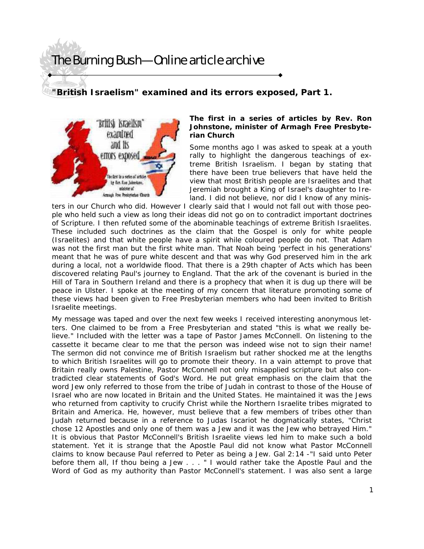## The Burning Bush—Online article archive

## **"British Israelism" examined and its errors exposed, Part 1.**



## **The first in a series of articles by Rev. Ron Johnstone, minister of Armagh Free Presbyterian Church**

Some months ago I was asked to speak at a youth rally to highlight the dangerous teachings of extreme British Israelism. I began by stating that there have been true believers that have held the view that most British people are Israelites and that Jeremiah brought a King of Israel's daughter to Ireland. I did not believe, nor did I know of any minis-

ters in our Church who did. However I clearly said that I would not fall out with those people who held such a view as long their ideas did not go on to contradict important doctrines of Scripture. I then refuted some of the abominable teachings of extreme British Israelites. These included such doctrines as the claim that the Gospel is only for white people (Israelites) and that white people have a spirit while coloured people do not. That Adam was not the first man but the first white man. That Noah being 'perfect in his generations' meant that he was of pure white descent and that was why God preserved him in the ark during a local, not a worldwide flood. That there is a 29th chapter of Acts which has been discovered relating Paul's journey to England. That the ark of the covenant is buried in the Hill of Tara in Southern Ireland and there is a prophecy that when it is dug up there will be peace in Ulster. I spoke at the meeting of my concern that literature promoting some of these views had been given to Free Presbyterian members who had been invited to British Israelite meetings.

My message was taped and over the next few weeks I received interesting anonymous letters. One claimed to be from a Free Presbyterian and stated "this is what we really believe." Included with the letter was a tape of Pastor James McConnell. On listening to the cassette it became clear to me that the person was indeed wise not to sign their name! The sermon did not convince me of British Israelism but rather shocked me at the lengths to which British Israelites will go to promote their theory. In a vain attempt to prove that Britain really owns Palestine, Pastor McConnell not only misapplied scripture but also contradicted clear statements of God's Word. He put great emphasis on the claim that the word Jew only referred to those from the tribe of Judah in contrast to those of the House of Israel who are now located in Britain and the United States. He maintained it was the Jews who returned from captivity to crucify Christ while the Northern Israelite tribes migrated to Britain and America. He, however, must believe that a few members of tribes other than Judah returned because in a reference to Judas Iscariot he dogmatically states, "Christ chose 12 Apostles and only one of them was a Jew and it was the Jew who betrayed Him." It is obvious that Pastor McConnell's British Israelite views led him to make such a bold statement. Yet it is strange that the Apostle Paul did not know what Pastor McConnell claims to know because Paul referred to Peter as being a Jew. Gal 2:14 -"I said unto Peter before them all, If thou being a Jew . . . " I would rather take the Apostle Paul and the Word of God as my authority than Pastor McConnell's statement. I was also sent a large